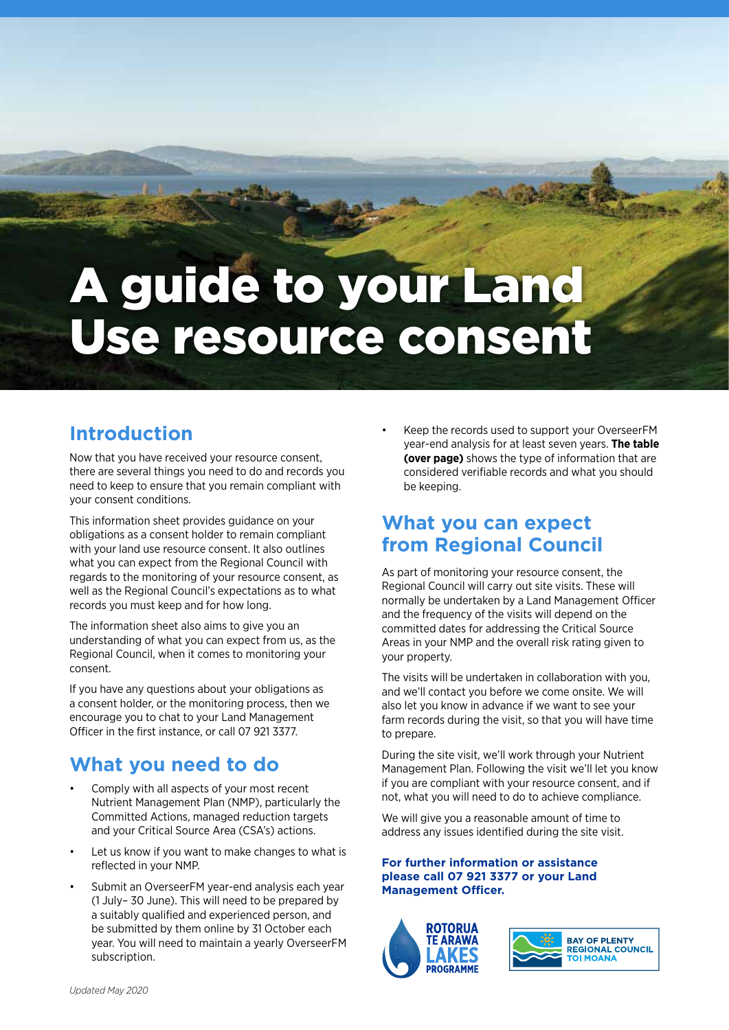# A guide to your Land Use resource consent

## **Introduction**

Now that you have received your resource consent, there are several things you need to do and records you need to keep to ensure that you remain compliant with your consent conditions.

This information sheet provides guidance on your obligations as a consent holder to remain compliant with your land use resource consent. It also outlines what you can expect from the Regional Council with regards to the monitoring of your resource consent, as well as the Regional Council's expectations as to what records you must keep and for how long.

The information sheet also aims to give you an understanding of what you can expect from us, as the Regional Council, when it comes to monitoring your consent.

If you have any questions about your obligations as a consent holder, or the monitoring process, then we encourage you to chat to your Land Management Officer in the first instance, or call 07 921 3377.

## **What you need to do**

- Comply with all aspects of your most recent Nutrient Management Plan (NMP), particularly the Committed Actions, managed reduction targets and your Critical Source Area (CSA's) actions.
- Let us know if you want to make changes to what is reflected in your NMP.
- Submit an OverseerFM year-end analysis each year (1 July– 30 June). This will need to be prepared by a suitably qualified and experienced person, and be submitted by them online by 31 October each year. You will need to maintain a yearly OverseerFM subscription.

• Keep the records used to support your OverseerFM year-end analysis for at least seven years. **The table (over page)** shows the type of information that are considered verifiable records and what you should be keeping.

### **What you can expect from Regional Council**

As part of monitoring your resource consent, the Regional Council will carry out site visits. These will normally be undertaken by a Land Management Officer and the frequency of the visits will depend on the committed dates for addressing the Critical Source Areas in your NMP and the overall risk rating given to your property.

The visits will be undertaken in collaboration with you, and we'll contact you before we come onsite. We will also let you know in advance if we want to see your farm records during the visit, so that you will have time to prepare.

During the site visit, we'll work through your Nutrient Management Plan. Following the visit we'll let you know if you are compliant with your resource consent, and if not, what you will need to do to achieve compliance.

We will give you a reasonable amount of time to address any issues identified during the site visit.

#### **For further information or assistance please call 07 921 3377 or your Land Management Officer.**